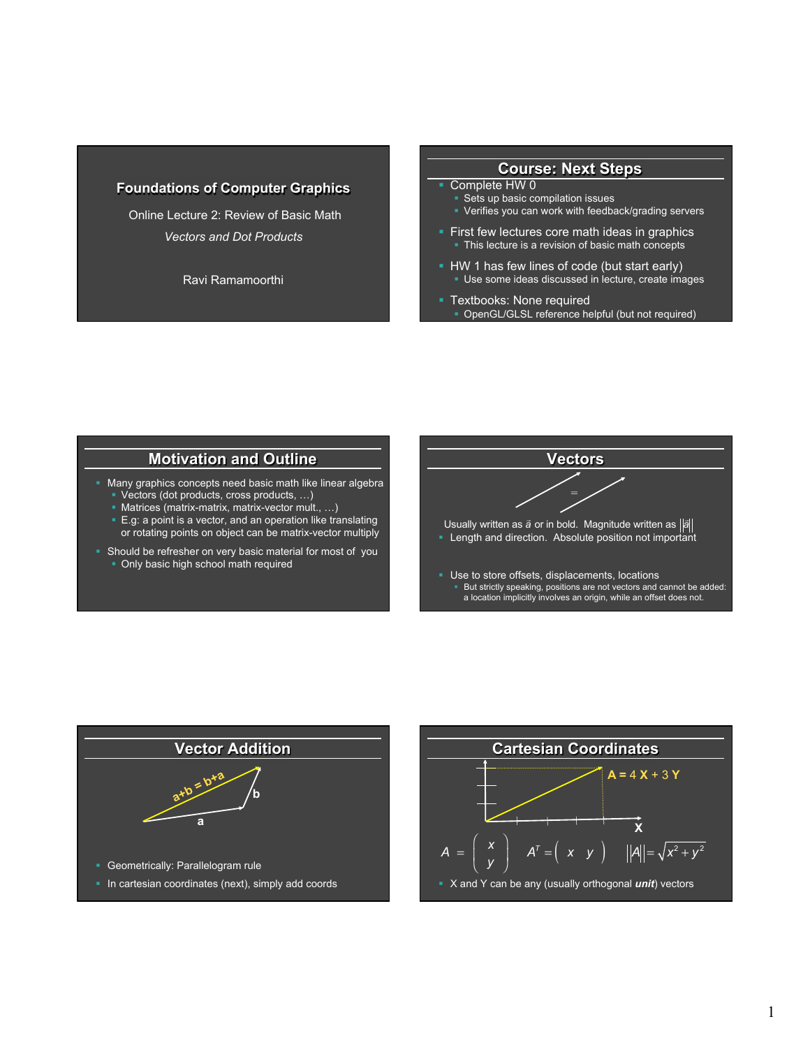### **Foundations of Computer Graphics**

 Online Lecture 2: Review of Basic Math *Vectors and Dot Products* 

Ravi Ramamoorthi

#### **Course: Next Steps**

#### § Complete HW 0

- § Sets up basic compilation issues
- Verifies you can work with feedback/grading servers
- First few lectures core math ideas in graphics • This lecture is a revision of basic math concepts
- HW 1 has few lines of code (but start early) ■ Use some ideas discussed in lecture, create images
- **Textbooks: None required** § OpenGL/GLSL reference helpful (but not required)

### **Motivation and Outline**

- Many graphics concepts need basic math like linear algebra § Vectors (dot products, cross products, …)
	- § Matrices (matrix-matrix, matrix-vector mult., …)
	- E.g: a point is a vector, and an operation like translating or rotating points on object can be matrix-vector multiply
- Should be refresher on very basic material for most of you • Only basic high school math required





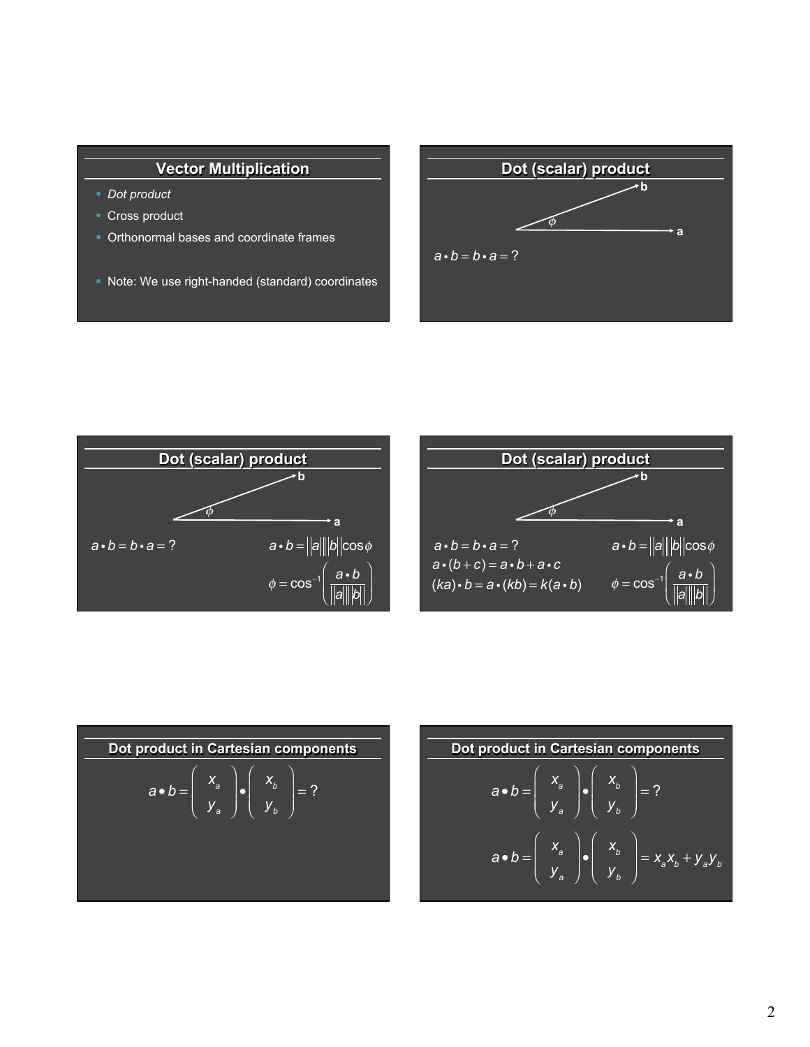## **Vector Multiplication**

- § *Dot product*
- Cross product
- § Orthonormal bases and coordinate frames
- Note: We use right-handed (standard) coordinates







Dot product in Cartesian components  
\n
$$
a \cdot b = \begin{pmatrix} x_a \\ y_a \end{pmatrix} \cdot \begin{pmatrix} x_b \\ y_b \end{pmatrix} = ?
$$

| Dot product in Cartesian components                                                                                             |
|---------------------------------------------------------------------------------------------------------------------------------|
| \n $a \cdot b = \begin{pmatrix} x_a \\ y_a \end{pmatrix} \cdot \begin{pmatrix} x_b \\ y_b \end{pmatrix} = ?$ \n                 |
| \n $a \cdot b = \begin{pmatrix} x_a \\ y_a \end{pmatrix} \cdot \begin{pmatrix} x_b \\ y_b \end{pmatrix} = x_a x_b + y_a y_b$ \n |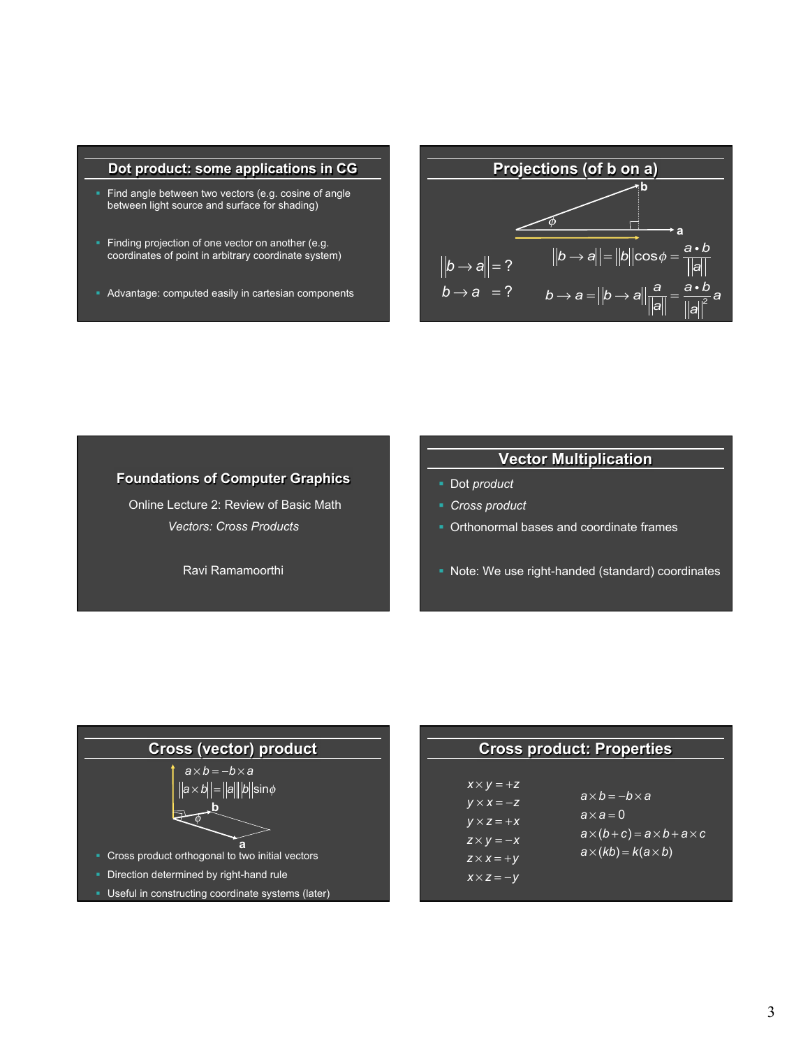#### **Dot product: some applications in CG**

- Find angle between two vectors (e.g. cosine of angle between light source and surface for shading)
- **Finding projection of one vector on another (e.g.** coordinates of point in arbitrary coordinate system)
- § Advantage: computed easily in cartesian components



#### **Foundations of Computer Graphics**

 Online Lecture 2: Review of Basic Math *Vectors: Cross Products* 

Ravi Ramamoorthi

# **Vector Multiplication**

- § Dot *product*
- § *Cross product*
- Orthonormal bases and coordinate frames
- Note: We use right-handed (standard) coordinates



| <b>Cross product: Properties</b> |                                        |  |
|----------------------------------|----------------------------------------|--|
|                                  |                                        |  |
| $X \times V = +Z$                |                                        |  |
| $V \times X = -Z$                | $a \times b = -b \times a$             |  |
| $V \times Z = +X$                | $a \times a = 0$                       |  |
| $Z \times V = -X$                | $a\times(b+c) = a\times b + a\times c$ |  |
| $\overline{z \times x} = +y$     | $a \times (kb) = k(a \times b)$        |  |

*x* × *z* = −*y*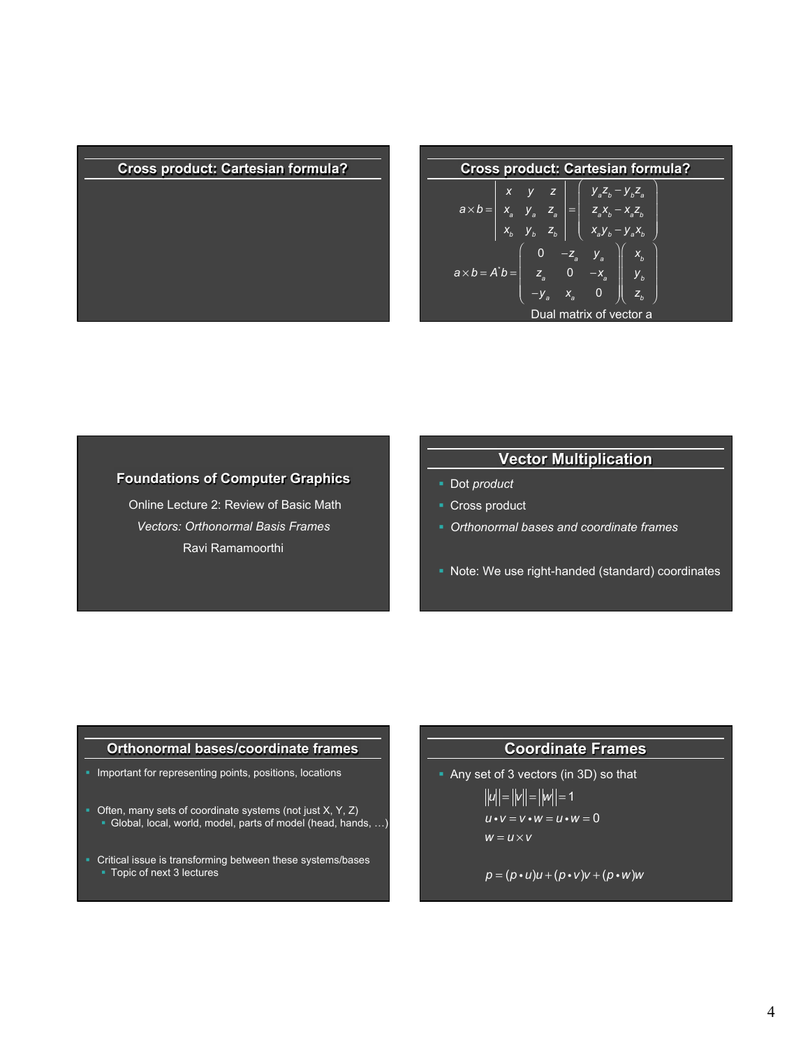### **Cross product: Cartesian formula? Cross product: Cartesian formula?**

| <b>Cross product: Cartesian formula?</b>                                                                                                                                                                   |
|------------------------------------------------------------------------------------------------------------------------------------------------------------------------------------------------------------|
| $\overline{a \times b} = \begin{vmatrix} x & y & z \\ x_a & y_a & z_a \\ x_b & y_b & z_b \end{vmatrix} = \begin{pmatrix} y_a z_b - y_b z_a \\ z_a x_b - x_a z_b \\ x_a y_b - y_a x_b \end{pmatrix}$        |
| $\label{eq:1} a \times b = A^{\dagger} b = \left( \begin{array}{ccc} 0 & -z_a & y_a \\ z_a & 0 & -x_a \\ -y_a & x_a & 0 \end{array} \right) \left( \begin{array}{c} x_b \\ y_b \\ z_b \end{array} \right)$ |
| Dual matrix of vector a                                                                                                                                                                                    |

### **Foundations of Computer Graphics**

 Online Lecture 2: Review of Basic Math *Vectors: Orthonormal Basis Frames*  Ravi Ramamoorthi

## **Vector Multiplication**

- § Dot *product*
- Cross product
- § *Orthonormal bases and coordinate frames*
- § Note: We use right-handed (standard) coordinates

### **Orthonormal bases/coordinate frames**

- Important for representing points, positions, locations
- Often, many sets of coordinate systems (not just X, Y, Z) § Global, local, world, model, parts of model (head, hands, …)
- Critical issue is transforming between these systems/bases § Topic of next 3 lectures

### **Coordinate Frames**

§ Any set of 3 vectors (in 3D) so that  $||u|| = ||v|| = ||w|| = 1$  $u \cdot v = v \cdot w = u \cdot w = 0$  $w = u \times v$ 

$$
p = (p \cdot u)u + (p \cdot v)v + (p \cdot w)w
$$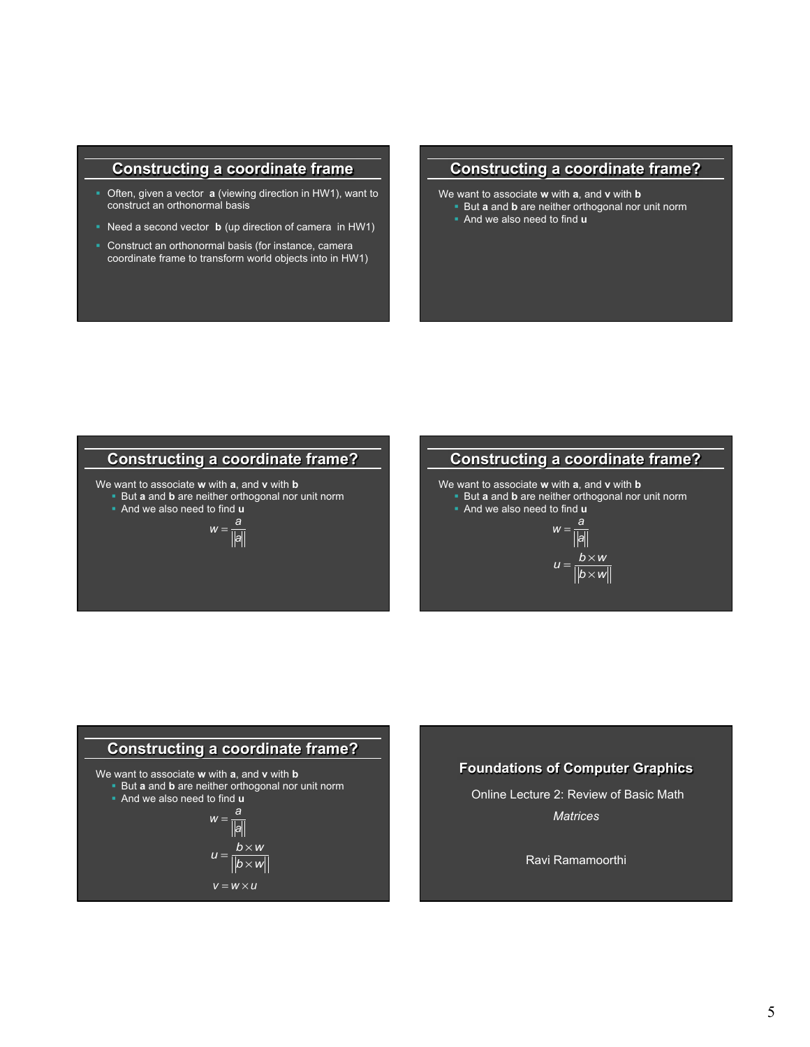## **Constructing a coordinate frame**

- § Often, given a vector **a** (viewing direction in HW1), want to construct an orthonormal basis
- § Need a second vector **b** (up direction of camera in HW1)
- § Construct an orthonormal basis (for instance, camera coordinate frame to transform world objects into in HW1)

## **Constructing a coordinate frame?**

We want to associate **w** with **a**, and **v** with **b But a** and **b** are neither orthogonal nor unit norm § And we also need to find **u** 

**Constructing a coordinate frame?**  *<sup>w</sup>* <sup>=</sup> *<sup>a</sup> a* We want to associate **w** with **a**, and **v** with **b**  § But **a** and **b** are neither orthogonal nor unit norm § And we also need to find **u** 



We want to associate **w** with **a**, and **v** with **b**  § But **a** and **b** are neither orthogonal nor unit norm

§ And we also need to find **u** 

$$
w = \frac{a}{\|a\|}
$$

$$
u = \frac{b \times w}{\|b \times w}
$$



#### **Foundations of Computer Graphics**

 Online Lecture 2: Review of Basic Math *Matrices* 

Ravi Ramamoorthi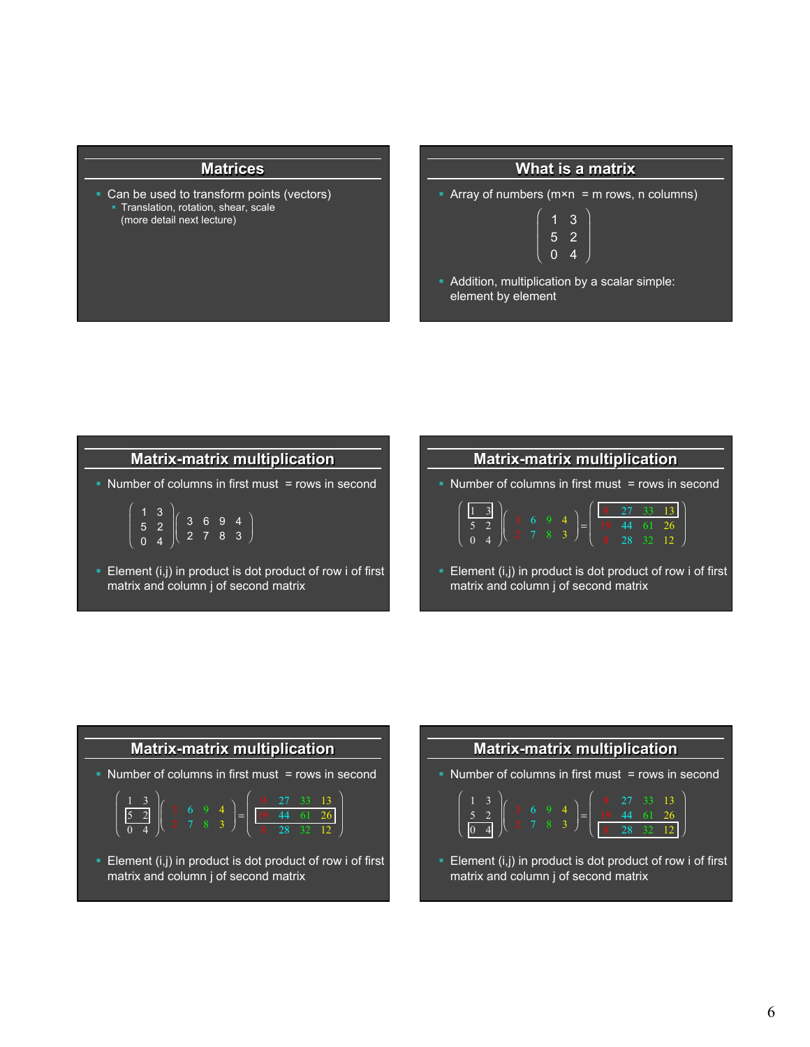#### **Matrices**

Can be used to transform points (vectors) **Translation, rotation, shear, scale** (more detail next lecture)

### **What is a matrix**

 $\lambda$ 

⎠

• Array of numbers ( $m \times n$  = m rows, n columns)

$$
\left(\begin{array}{rrr} 1 & 3 \\ 5 & 2 \\ 0 & 4 \end{array}\right)
$$

§ Addition, multiplication by a scalar simple: element by element

# **Matrix-matrix multiplication**

• Number of columns in first must = rows in second

$$
\left(\begin{array}{c}1 & 3 \\5 & 2 \\0 & 4\end{array}\right)\left(\begin{array}{ccc}3 & 6 & 9 & 4 \\2 & 7 & 8 & 3\end{array}\right)
$$

■ Element (i,j) in product is dot product of row i of first matrix and column j of second matrix